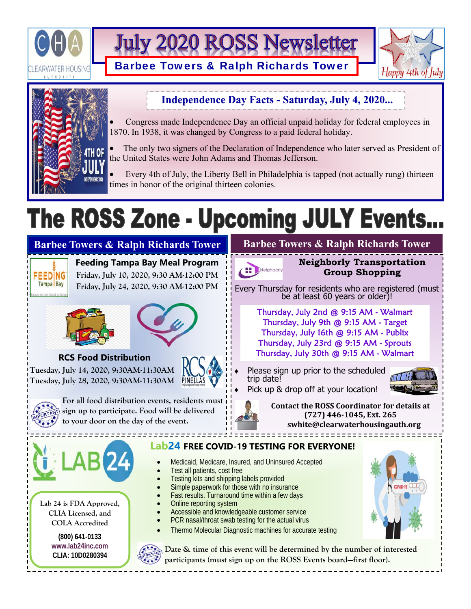

**July 2020 ROSS Newsletter** 

Barbee Towers & Ralph Richards Tower





## **Independence Day Facts - Saturday, July 4, 2020...**

 Congress made Independence Day an official unpaid holiday for federal employees in 1870. In 1938, it was changed by Congress to a paid federal holiday.

 The only two signers of the Declaration of Independence who later served as President of the United States were John Adams and Thomas Jefferson.

 Every 4th of July, the Liberty Bell in Philadelphia is tapped (not actually rung) thirteen times in honor of the original thirteen colonies.

# The ROSS Zone - Upcoming JULY Events.